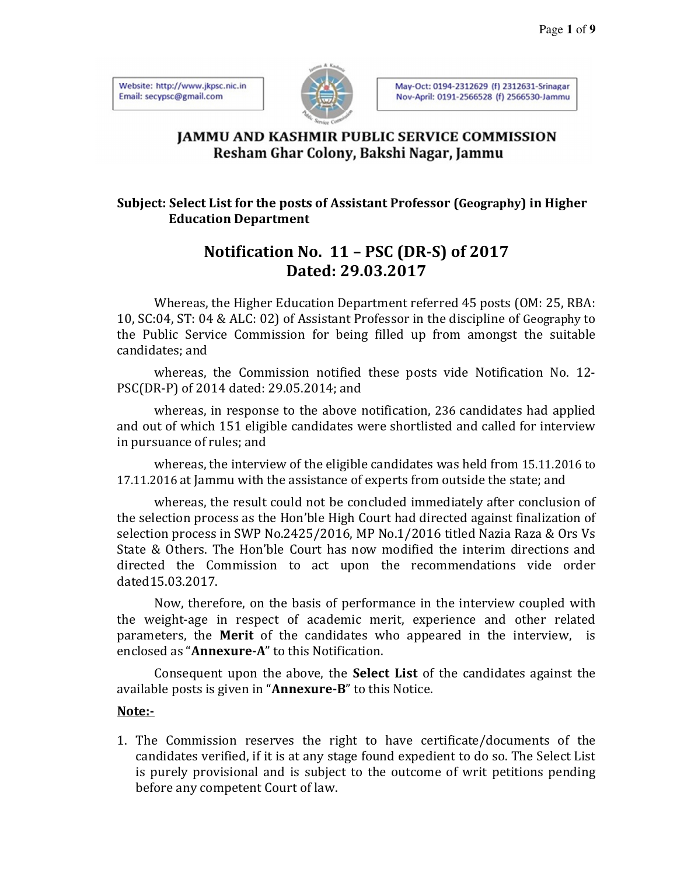Website: http://www.jkpsc.nic.in Email: secypsc@gmail.com



May-Oct: 0194-2312629 (f) 2312631-Srinagar Nov-April: 0191-2566528 (f) 2566530-Jammu

### **IAMMU AND KASHMIR PUBLIC SERVICE COMMISSION** Resham Ghar Colony, Bakshi Nagar, Jammu

#### **Subject: Select List for the posts of Assistant Professor (Geography) in Higher Education Department**

## **Notification No. 11 – PSC (DR-S) of 2017 Dated: 29.03.2017**

Whereas, the Higher Education Department referred 45 posts (OM: 25, RBA: 10, SC:04, ST: 04 & ALC: 02) of Assistant Professor in the discipline of Geography to the Public Service Commission for being filled up from amongst the suitable candidates; and

whereas, the Commission notified these posts vide Notification No. 12- PSC(DR-P) of 2014 dated: 29.05.2014; and

whereas, in response to the above notification, 236 candidates had applied and out of which 151 eligible candidates were shortlisted and called for interview in pursuance of rules; and

whereas, the interview of the eligible candidates was held from 15.11.2016 to 17.11.2016 at Jammu with the assistance of experts from outside the state; and

whereas, the result could not be concluded immediately after conclusion of the selection process as the Hon'ble High Court had directed against finalization of selection process in SWP No.2425/2016, MP No.1/2016 titled Nazia Raza & Ors Vs State & Others. The Hon'ble Court has now modified the interim directions and directed the Commission to act upon the recommendations vide order dated15.03.2017.

Now, therefore, on the basis of performance in the interview coupled with the weight-age in respect of academic merit, experience and other related parameters, the **Merit** of the candidates who appeared in the interview, is enclosed as "**Annexure-A**" to this Notification.

Consequent upon the above, the **Select List** of the candidates against the available posts is given in "**Annexure-B**" to this Notice.

#### **Note:-**

1. The Commission reserves the right to have certificate/documents of the candidates verified, if it is at any stage found expedient to do so. The Select List is purely provisional and is subject to the outcome of writ petitions pending before any competent Court of law.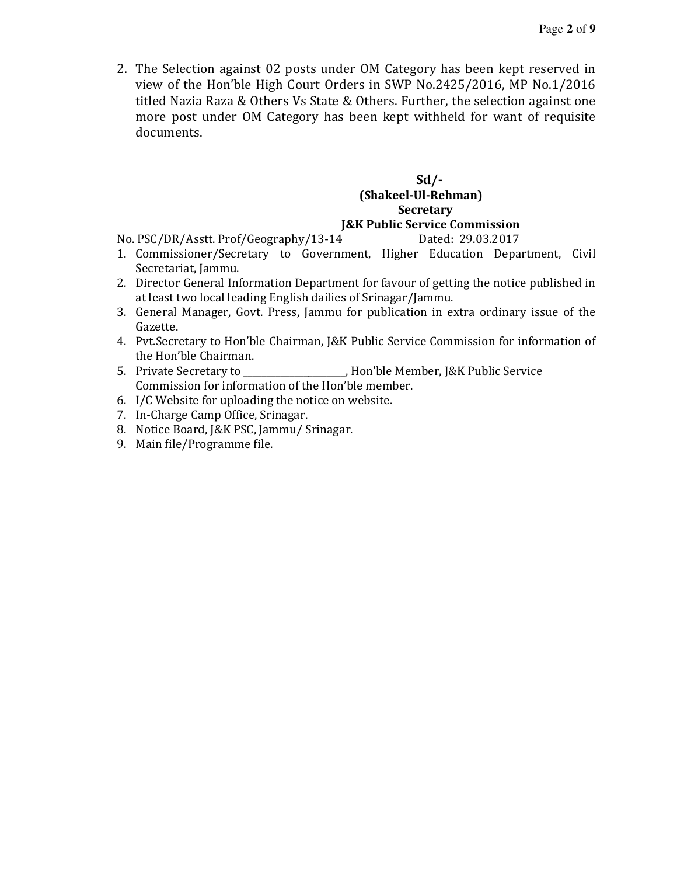2. The Selection against 02 posts under OM Category has been kept reserved in view of the Hon'ble High Court Orders in SWP No.2425/2016, MP No.1/2016 titled Nazia Raza & Others Vs State & Others. Further, the selection against one more post under OM Category has been kept withheld for want of requisite documents.

#### **Sd/- (Shakeel-Ul-Rehman) Secretary J&K Public Service Commission**

No. PSC/DR/Asstt. Prof/Geography/13-14 Dated: 29.03.2017

- 1. Commissioner/Secretary to Government, Higher Education Department, Civil Secretariat, Jammu.
- 2. Director General Information Department for favour of getting the notice published in at least two local leading English dailies of Srinagar/Jammu.
- 3. General Manager, Govt. Press, Jammu for publication in extra ordinary issue of the Gazette.
- 4. Pvt.Secretary to Hon'ble Chairman, J&K Public Service Commission for information of the Hon'ble Chairman.
- 5. Private Secretary to \_\_\_\_\_\_\_\_\_\_\_\_\_\_\_\_\_\_\_\_\_\_, Hon'ble Member, J&K Public Service Commission for information of the Hon'ble member.
- 6. I/C Website for uploading the notice on website.
- 7. In-Charge Camp Office, Srinagar.
- 8. Notice Board, J&K PSC, Jammu/ Srinagar.
- 9. Main file/Programme file.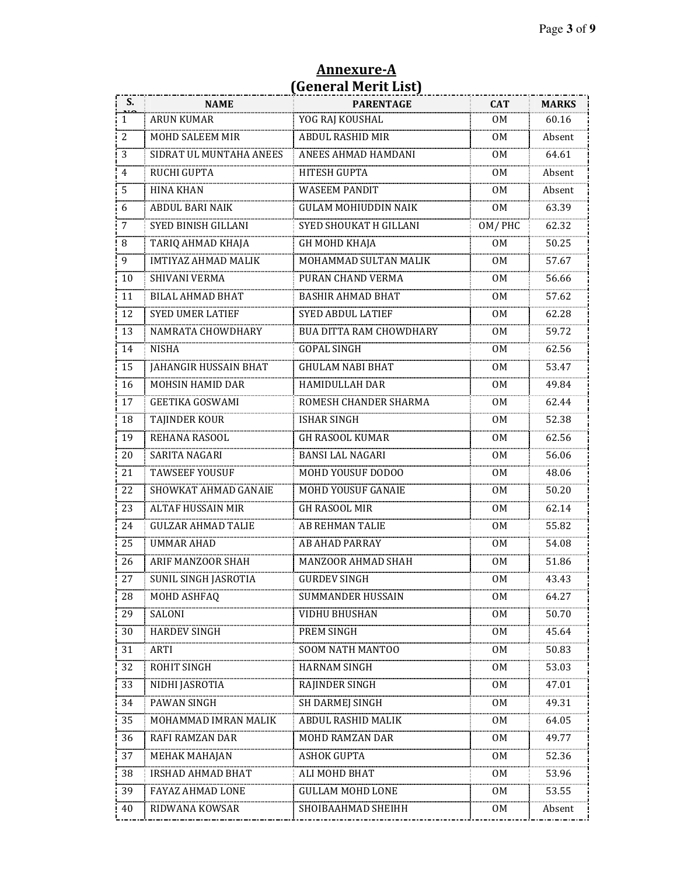| S. | <b>NAME</b>                | $\frac{1}{2}$<br><b>PARENTAGE</b> | <b>CAT</b>     | <b>MARKS</b> |
|----|----------------------------|-----------------------------------|----------------|--------------|
| 1  | <b>ARUN KUMAR</b>          | YOG RAJ KOUSHAL                   | 0M             | 60.16        |
| 2  | MOHD SALEEM MIR            | <b>ABDUL RASHID MIR</b>           | OM.            | Absent       |
| 3  | SIDRAT UL MUNTAHA ANEES    | ANEES AHMAD HAMDANI               | 0M             | 64.61        |
| 4  | RUCHI GUPTA                | HITESH GUPTA                      | 0 <sub>M</sub> | Absent       |
| 5  | <b>HINA KHAN</b>           | <b>WASEEM PANDIT</b>              | OМ             | Absent       |
| 6  | ABDUL BARI NAIK            | <b>GULAM MOHIUDDIN NAIK</b>       | 0 <sub>M</sub> | 63.39        |
| 7  | SYED BINISH GILLANI        | SYED SHOUKAT H GILLANI            | OM/PHC         | 62.32        |
| 8  | TARIQ AHMAD KHAJA          | <b>GH MOHD KHAJA</b>              | 0M             | 50.25        |
| 9  | <b>IMTIYAZ AHMAD MALIK</b> | MOHAMMAD SULTAN MALIK             | 0 <sub>M</sub> | 57.67        |
| 10 | SHIVANI VERMA              | PURAN CHAND VERMA                 | 0M             | 56.66        |
| 11 | <b>BILAL AHMAD BHAT</b>    | <b>BASHIR AHMAD BHAT</b>          | 0M             | 57.62        |
| 12 | <b>SYED UMER LATIEF</b>    | <b>SYED ABDUL LATIEF</b>          | 0M             | 62.28        |
| 13 | NAMRATA CHOWDHARY          | BUA DITTA RAM CHOWDHARY           | 0M             | 59.72        |
| 14 | <b>NISHA</b>               | <b>GOPAL SINGH</b>                | 0M             | 62.56        |
| 15 | JAHANGIR HUSSAIN BHAT      | <b>GHULAM NABI BHAT</b>           | 0M             | 53.47        |
| 16 | MOHSIN HAMID DAR           | HAMIDULLAH DAR                    | OМ             | 49.84        |
| 17 | <b>GEETIKA GOSWAMI</b>     | ROMESH CHANDER SHARMA             | 0 <sub>M</sub> | 62.44        |
| 18 | TAJINDER KOUR              | <b>ISHAR SINGH</b>                | 0 <sub>M</sub> | 52.38        |
| 19 | REHANA RASOOL              | <b>GH RASOOL KUMAR</b>            | 0M             | 62.56        |
| 20 | SARITA NAGARI              | <b>BANSI LAL NAGARI</b>           | 0M             | 56.06        |
| 21 | TAWSEEF YOUSUF             | MOHD YOUSUF DODOO                 | 0 <sub>M</sub> | 48.06        |
| 22 | SHOWKAT AHMAD GANAIE       | MOHD YOUSUF GANAIE                | 0M             | 50.20        |
| 23 | <b>ALTAF HUSSAIN MIR</b>   | <b>GH RASOOL MIR</b>              | 0M             | 62.14        |
| 24 | <b>GULZAR AHMAD TALIE</b>  | AB REHMAN TALIE                   | 0 <sub>M</sub> | 55.82        |
| 25 | <b>UMMAR AHAD</b>          | <b>AB AHAD PARRAY</b>             | OМ             | 54.08        |
| 26 | ARIF MANZOOR SHAH          | MANZOOR AHMAD SHAH                | 0M             | 51.86        |
| 27 | SUNIL SINGH JASROTIA       | <b>GURDEV SINGH</b>               | 0M             | 43.43        |
| 28 | MOHD ASHFAQ                | SUMMANDER HUSSAIN                 | OМ             | 64.27        |
| 29 | SALONI                     | VIDHU BHUSHAN                     | 0M             | 50.70        |
| 30 | <b>HARDEV SINGH</b>        | PREM SINGH                        | 0M             | 45.64        |
| 31 | <b>ARTI</b>                | SOOM NATH MANTOO                  | 0M             | 50.83        |
| 32 | ROHIT SINGH                | <b>HARNAM SINGH</b>               | 0M             | 53.03        |
| 33 | NIDHI JASROTIA             | RAJINDER SINGH                    | 0M             | 47.01        |
| 34 | PAWAN SINGH                | <b>SH DARMEJ SINGH</b>            | 0M             | 49.31        |
| 35 | MOHAMMAD IMRAN MALIK       | ABDUL RASHID MALIK                | OM             | 64.05        |
| 36 | RAFI RAMZAN DAR            | MOHD RAMZAN DAR                   | 0M             | 49.77        |
| 37 | MEHAK MAHAJAN              | <b>ASHOK GUPTA</b>                | OM             | 52.36        |
| 38 | IRSHAD AHMAD BHAT          | ALI MOHD BHAT                     | OМ             | 53.96        |
| 39 | FAYAZ AHMAD LONE           | <b>GULLAM MOHD LONE</b>           | 0M             | 53.55        |
| 40 | RIDWANA KOWSAR             | SHOIBAAHMAD SHEIHH                | 0M             | Absent       |

#### **Annexure-A (General Merit List)**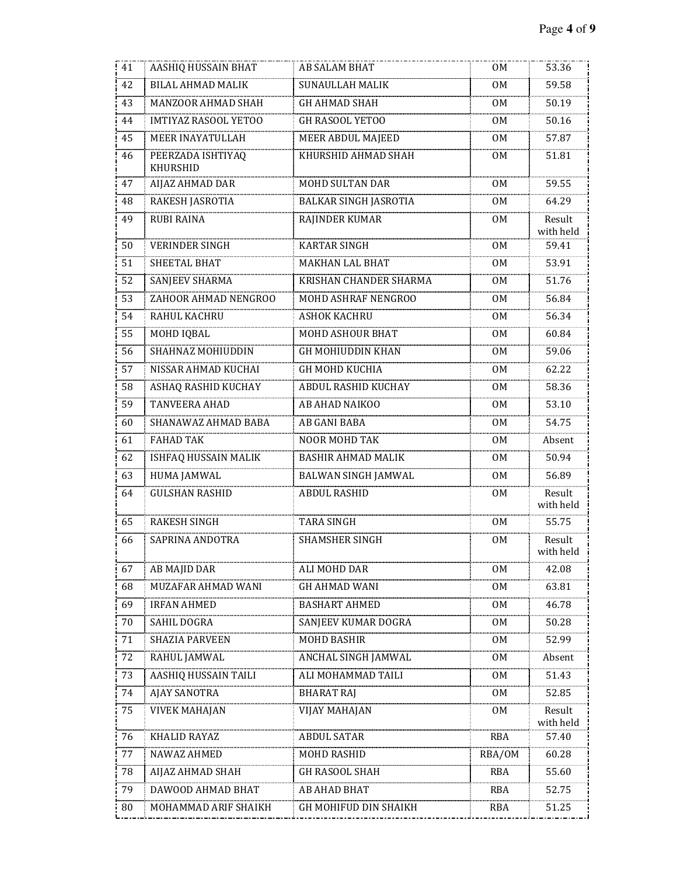| 41 | AASHIQ HUSSAIN BHAT           | AB SALAM BHAT                | 0M             | 53.36               |
|----|-------------------------------|------------------------------|----------------|---------------------|
| 42 | <b>BILAL AHMAD MALIK</b>      | <b>SUNAULLAH MALIK</b>       | OМ             | 59.58               |
| 43 | MANZOOR AHMAD SHAH            | <b>GH AHMAD SHAH</b>         | 0M             | 50.19               |
| 44 | IMTIYAZ RASOOL YETOO          | GH RASOOL YETOO              | 0 <sub>M</sub> | 50.16               |
| 45 | MEER INAYATULLAH              | MEER ABDUL MAJEED            | 0M             | 57.87               |
| 46 | PEERZADA ISHTIYAQ<br>KHURSHID | KHURSHID AHMAD SHAH          | 0M             | 51.81               |
| 47 | AIJAZ AHMAD DAR               | <b>MOHD SULTAN DAR</b>       | 0 <sub>M</sub> | 59.55               |
| 48 | RAKESH JASROTIA               | <b>BALKAR SINGH JASROTIA</b> | 0M             | 64.29               |
| 49 | <b>RUBI RAINA</b>             | RAJINDER KUMAR               | 0 <sub>M</sub> | Result<br>with held |
| 50 | <b>VERINDER SINGH</b>         | <b>KARTAR SINGH</b>          | 0M             | 59.41               |
| 51 | SHEETAL BHAT                  | <b>MAKHAN LAL BHAT</b>       | 0 <sub>M</sub> | 53.91               |
| 52 | <b>SANJEEV SHARMA</b>         | KRISHAN CHANDER SHARMA       | 0 <sub>M</sub> | 51.76               |
| 53 | ZAHOOR AHMAD NENGROO          | MOHD ASHRAF NENGROO          | 0 <sub>M</sub> | 56.84               |
| 54 | RAHUL KACHRU                  | <b>ASHOK KACHRU</b>          | OМ             | 56.34               |
| 55 | MOHD IQBAL                    | MOHD ASHOUR BHAT             | 0 <sub>M</sub> | 60.84               |
| 56 | SHAHNAZ MOHIUDDIN             | <b>GH MOHIUDDIN KHAN</b>     | 0M             | 59.06               |
| 57 | NISSAR AHMAD KUCHAI           | GH MOHD KUCHIA               | 0M             | 62.22               |
| 58 | ASHAQ RASHID KUCHAY           | ABDUL RASHID KUCHAY          | 0 <sub>M</sub> | 58.36               |
| 59 | TANVEERA AHAD                 | AB AHAD NAIKOO               | 0 <sub>M</sub> | 53.10               |
| 60 | SHANAWAZ AHMAD BABA           | AB GANI BABA                 | OМ             | 54.75               |
| 61 | <b>FAHAD TAK</b>              | <b>NOOR MOHD TAK</b>         | 0 <sub>M</sub> | Absent              |
| 62 | ISHFAQ HUSSAIN MALIK          | <b>BASHIR AHMAD MALIK</b>    | 0M             | 50.94               |
| 63 | <b>HUMA JAMWAL</b>            | BALWAN SINGH JAMWAL          | 0M             | 56.89               |
| 64 | <b>GULSHAN RASHID</b>         | <b>ABDUL RASHID</b>          | 0M             | Result<br>with held |
| 65 | <b>RAKESH SINGH</b>           | <b>TARA SINGH</b>            | 0M             | 55.75               |
| 66 | SAPRINA ANDOTRA               | SHAMSHER SINGH               | 0M             | Result<br>with held |
| 67 | AB MAJID DAR                  | ALI MOHD DAR                 | 0M             | 42.08               |
| 68 | MUZAFAR AHMAD WANI            | <b>GH AHMAD WANI</b>         | 0M             | 63.81               |
| 69 | <b>IRFAN AHMED</b>            | <b>BASHART AHMED</b>         | 0M             | 46.78               |
| 70 | SAHIL DOGRA                   | SANJEEV KUMAR DOGRA          | 0M             | 50.28               |
| 71 | <b>SHAZIA PARVEEN</b>         | <b>MOHD BASHIR</b>           | 0M             | 52.99               |
| 72 | RAHUL JAMWAL                  | ANCHAL SINGH JAMWAL          | 0M             | Absent              |
| 73 | AASHIQ HUSSAIN TAILI          | ALI MOHAMMAD TAILI           | 0M             | 51.43               |
| 74 | AJAY SANOTRA                  | <b>BHARAT RAJ</b>            | 0M             | 52.85               |
| 75 | VIVEK MAHAJAN                 | VIJAY MAHAJAN                | 0M             | Result<br>with held |
| 76 | KHALID RAYAZ                  | <b>ABDUL SATAR</b>           | RBA            | 57.40               |
| 77 | NAWAZ AHMED                   | MOHD RASHID                  | RBA/OM         | 60.28               |
| 78 | AIJAZ AHMAD SHAH              | GH RASOOL SHAH               | RBA            | 55.60               |
| 79 | DAWOOD AHMAD BHAT             | AB AHAD BHAT                 | RBA            | 52.75               |
| 80 | MOHAMMAD ARIF SHAIKH          | GH MOHIFUD DIN SHAIKH        | RBA            | 51.25               |
|    |                               |                              |                |                     |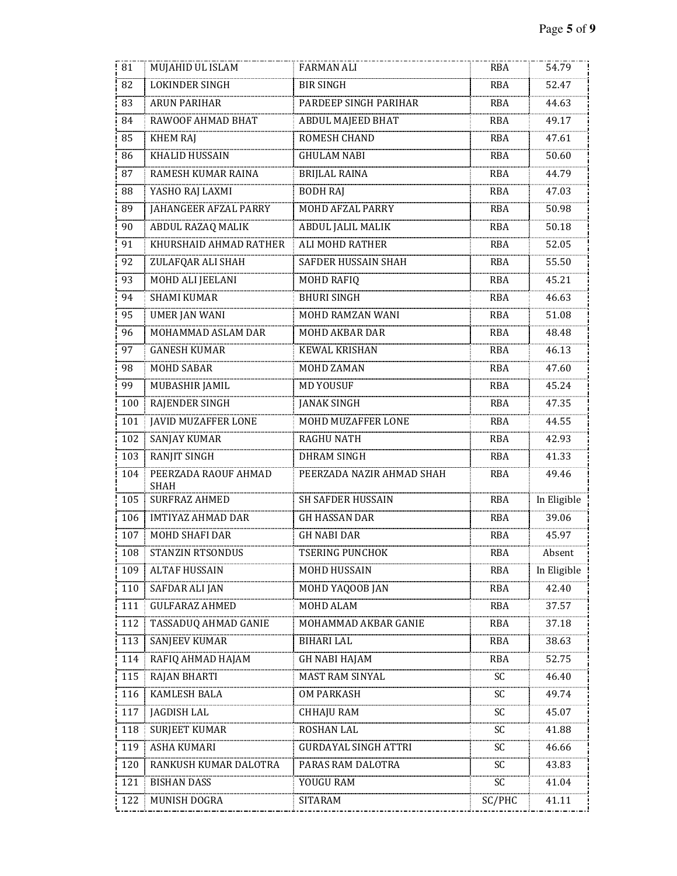| 81  | MUJAHID UL ISLAM                    | <b>FARMAN ALI</b>           | RBA        | 54.79       |
|-----|-------------------------------------|-----------------------------|------------|-------------|
| 82  | <b>LOKINDER SINGH</b>               | <b>BIR SINGH</b>            | <b>RBA</b> | 52.47       |
| 83  | <b>ARUN PARIHAR</b>                 | PARDEEP SINGH PARIHAR       | RBA        | 44.63       |
| 84  | RAWOOF AHMAD BHAT                   | ABDUL MAJEED BHAT           | <b>RBA</b> | 49.17       |
| 85  | <b>KHEM RAJ</b>                     | ROMESH CHAND                | <b>RBA</b> | 47.61       |
| 86  | KHALID HUSSAIN                      | <b>GHULAM NABI</b>          | RBA        | 50.60       |
| 87  | RAMESH KUMAR RAINA                  | <b>BRIJLAL RAINA</b>        | <b>RBA</b> | 44.79       |
| 88  | YASHO RAJ LAXMI                     | <b>BODH RAJ</b>             | <b>RBA</b> | 47.03       |
| 89  | JAHANGEER AFZAL PARRY               | <b>MOHD AFZAL PARRY</b>     | <b>RBA</b> | 50.98       |
| 90  | ABDUL RAZAQ MALIK                   | <b>ABDUL JALIL MALIK</b>    | <b>RBA</b> | 50.18       |
| 91  | KHURSHAID AHMAD RATHER              | ALI MOHD RATHER             | <b>RBA</b> | 52.05       |
| 92  | ZULAFQAR ALI SHAH                   | SAFDER HUSSAIN SHAH         | <b>RBA</b> | 55.50       |
| 93  | MOHD ALI JEELANI                    | <b>MOHD RAFIQ</b>           | <b>RBA</b> | 45.21       |
| 94  | <b>SHAMI KUMAR</b>                  | <b>BHURI SINGH</b>          | <b>RBA</b> | 46.63       |
| 95  | <b>UMER JAN WANI</b>                | MOHD RAMZAN WANI            | <b>RBA</b> | 51.08       |
| 96  | MOHAMMAD ASLAM DAR                  | MOHD AKBAR DAR              | <b>RBA</b> | 48.48       |
| 97  | <b>GANESH KUMAR</b>                 | <b>KEWAL KRISHAN</b>        | <b>RBA</b> | 46.13       |
| 98  | <b>MOHD SABAR</b>                   | MOHD ZAMAN                  | <b>RBA</b> | 47.60       |
| 99  | MUBASHIR JAMIL                      | <b>MD YOUSUF</b>            | <b>RBA</b> | 45.24       |
| 100 | RAJENDER SINGH                      | <b>JANAK SINGH</b>          | <b>RBA</b> | 47.35       |
| 101 | JAVID MUZAFFER LONE                 | MOHD MUZAFFER LONE          | RBA        | 44.55       |
| 102 | <b>SANJAY KUMAR</b>                 | <b>RAGHU NATH</b>           | <b>RBA</b> | 42.93       |
| 103 | <b>RANJIT SINGH</b>                 | <b>DHRAM SINGH</b>          | <b>RBA</b> | 41.33       |
| 104 | PEERZADA RAOUF AHMAD<br><b>SHAH</b> | PEERZADA NAZIR AHMAD SHAH   | <b>RBA</b> | 49.46       |
| 105 | <b>SURFRAZ AHMED</b>                | <b>SH SAFDER HUSSAIN</b>    | <b>RBA</b> | In Eligible |
| 106 | <b>IMTIYAZ AHMAD DAR</b>            | <b>GH HASSAN DAR</b>        | RBA        | 39.06       |
| 107 | MOHD SHAFI DAR                      | <b>GH NABI DAR</b>          | RBA        | 45.97       |
| 108 | STANZIN RTSONDUS                    | <b>TSERING PUNCHOK</b>      | RBA        | Absent      |
| 109 | <b>ALTAF HUSSAIN</b>                | MOHD HUSSAIN                | <b>RBA</b> | In Eligible |
| 110 | SAFDAR ALI JAN                      | MOHD YAQOOB JAN             | RBA        | 42.40       |
| 111 | <b>GULFARAZ AHMED</b>               | MOHD ALAM                   | <b>RBA</b> | 37.57       |
| 112 | TASSADUQ AHMAD GANIE                | MOHAMMAD AKBAR GANIE        | RBA        | 37.18       |
| 113 | SANJEEV KUMAR                       | <b>BIHARI LAL</b>           | RBA        | 38.63       |
| 114 | RAFIQ AHMAD HAJAM                   | <b>GH NABI HAJAM</b>        | RBA        | 52.75       |
| 115 | <b>RAJAN BHARTI</b>                 | MAST RAM SINYAL             | SC         | 46.40       |
| 116 | <b>KAMLESH BALA</b>                 | OM PARKASH                  | SC         | 49.74       |
| 117 | JAGDISH LAL                         | <b>CHHAJU RAM</b>           | SC         | 45.07       |
| 118 | <b>SURJEET KUMAR</b>                | ROSHAN LAL                  | SC         | 41.88       |
| 119 | ASHA KUMARI                         | <b>GURDAYAL SINGH ATTRI</b> | SC         | 46.66       |
| 120 | RANKUSH KUMAR DALOTRA               | PARAS RAM DALOTRA           | SC         | 43.83       |
| 121 | <b>BISHAN DASS</b>                  | YOUGU RAM                   | SC         | 41.04       |
| 122 | MUNISH DOGRA                        | SITARAM                     | SC/PHC     | 41.11       |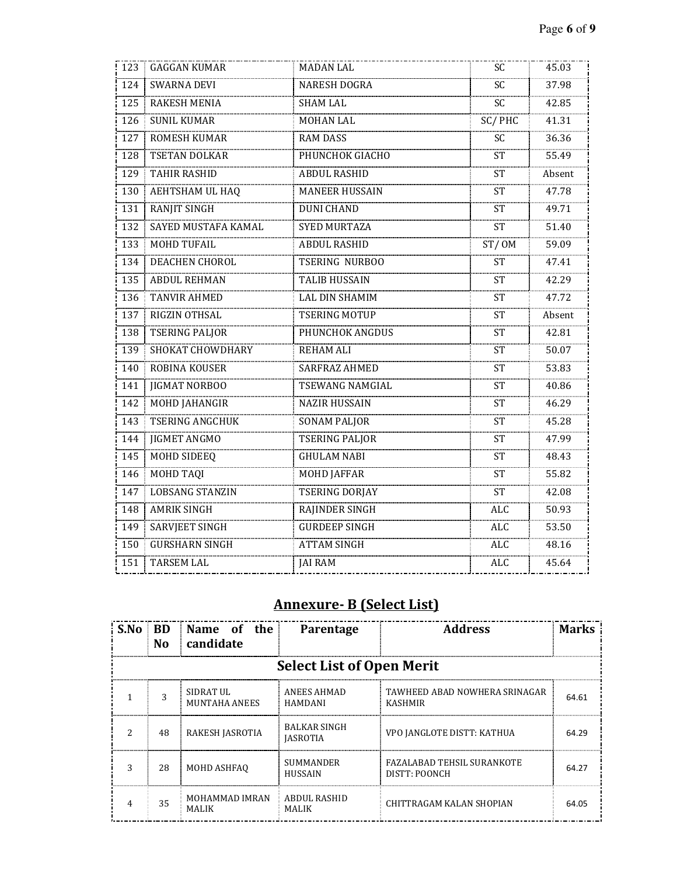| 123 | <b>GAGGAN KUMAR</b>     | <b>MADAN LAL</b>       | SC.        | 45.03  |
|-----|-------------------------|------------------------|------------|--------|
| 124 | <b>SWARNA DEVI</b>      | <b>NARESH DOGRA</b>    | <b>SC</b>  | 37.98  |
| 125 | <b>RAKESH MENIA</b>     | <b>SHAM LAL</b>        | SC         | 42.85  |
| 126 | <b>SUNIL KUMAR</b>      | <b>MOHAN LAL</b>       | SC/PHC     | 41.31  |
| 127 | <b>ROMESH KUMAR</b>     | <b>RAM DASS</b>        | <b>SC</b>  | 36.36  |
| 128 | TSETAN DOLKAR           | PHUNCHOK GIACHO        | <b>ST</b>  | 55.49  |
| 129 | <b>TAHIR RASHID</b>     | <b>ABDUL RASHID</b>    | <b>ST</b>  | Absent |
| 130 | AEHTSHAM UL HAQ         | <b>MANEER HUSSAIN</b>  | <b>ST</b>  | 47.78  |
| 131 | <b>RANJIT SINGH</b>     | <b>DUNI CHAND</b>      | <b>ST</b>  | 49.71  |
| 132 | SAYED MUSTAFA KAMAL     | <b>SYED MURTAZA</b>    | <b>ST</b>  | 51.40  |
| 133 | MOHD TUFAIL             | <b>ABDUL RASHID</b>    | ST/OM      | 59.09  |
| 134 | DEACHEN CHOROL          | <b>TSERING NURBOO</b>  | <b>ST</b>  | 47.41  |
| 135 | <b>ABDUL REHMAN</b>     | <b>TALIB HUSSAIN</b>   | <b>ST</b>  | 42.29  |
| 136 | <b>TANVIR AHMED</b>     | <b>LAL DIN SHAMIM</b>  | <b>ST</b>  | 47.72  |
| 137 | RIGZIN OTHSAL           | <b>TSERING MOTUP</b>   | <b>ST</b>  | Absent |
| 138 | <b>TSERING PALJOR</b>   | PHUNCHOK ANGDUS        | <b>ST</b>  | 42.81  |
| 139 | <b>SHOKAT CHOWDHARY</b> | <b>REHAM ALI</b>       | <b>ST</b>  | 50.07  |
| 140 | ROBINA KOUSER           | SARFRAZ AHMED          | <b>ST</b>  | 53.83  |
| 141 | <b>JIGMAT NORBOO</b>    | <b>TSEWANG NAMGIAL</b> | <b>ST</b>  | 40.86  |
| 142 | MOHD JAHANGIR           | <b>NAZIR HUSSAIN</b>   | ST         | 46.29  |
| 143 | <b>TSERING ANGCHUK</b>  | <b>SONAM PALJOR</b>    | <b>ST</b>  | 45.28  |
| 144 | <b>JIGMET ANGMO</b>     | <b>TSERING PALJOR</b>  | <b>ST</b>  | 47.99  |
| 145 | MOHD SIDEEQ             | <b>GHULAM NABI</b>     | ST         | 48.43  |
| 146 | <b>MOHD TAQI</b>        | <b>MOHD JAFFAR</b>     | <b>ST</b>  | 55.82  |
| 147 | <b>LOBSANG STANZIN</b>  | TSERING DORJAY         | <b>ST</b>  | 42.08  |
| 148 | <b>AMRIK SINGH</b>      | RAJINDER SINGH         | <b>ALC</b> | 50.93  |
| 149 | <b>SARVJEET SINGH</b>   | <b>GURDEEP SINGH</b>   | <b>ALC</b> | 53.50  |
| 150 | <b>GURSHARN SINGH</b>   | <b>ATTAM SINGH</b>     | <b>ALC</b> | 48.16  |
| 151 | <b>TARSEM LAL</b>       | <b>JAI RAM</b>         | <b>ALC</b> | 45.64  |
|     |                         |                        |            |        |

# **Annexure- B (Select List)**

|   | No.                              | S.No BD Name of the<br>candidate      | <b>Parentage</b>                       | <b>Address</b>                                     | Marks |  |  |
|---|----------------------------------|---------------------------------------|----------------------------------------|----------------------------------------------------|-------|--|--|
|   | <b>Select List of Open Merit</b> |                                       |                                        |                                                    |       |  |  |
|   |                                  | SIDRAT UL<br>MUNTAHA ANEES            | ANEES AHMAD<br>HAMDANI                 | TAWHEED ABAD NOWHERA SRINAGAR<br>KASHMIR           | 64.61 |  |  |
| っ | 48                               | RAKESH JASROTIA                       | <b>BALKAR SINGH</b><br><b>JASROTIA</b> | VPO JANGLOTE DISTT: KATHUA                         | 64.29 |  |  |
| ζ | 28                               | MOHD ASHFAO                           | <b>SUMMANDER</b><br><b>HUSSAIN</b>     | <b>FAZALABAD TEHSIL SURANKOTE</b><br>DISTT: POONCH | 64.27 |  |  |
|   | 35                               | <b>MOHAMMAD IMRAN</b><br><b>MALIK</b> | ABDUL RASHID<br><b>MALIK</b>           | CHITTRAGAM KALAN SHOPIAN                           | 64.05 |  |  |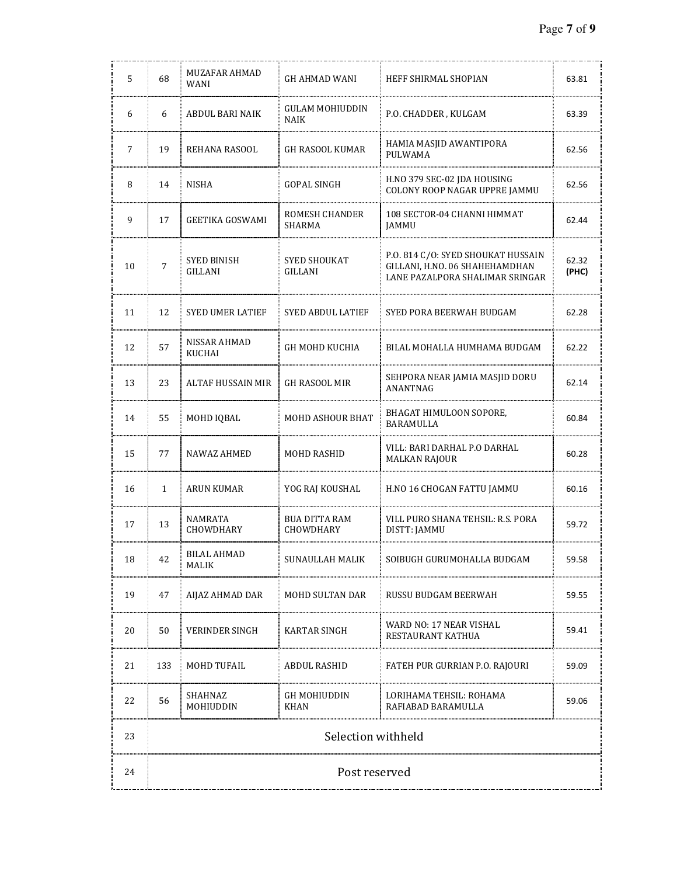| 5  | 68             | MUZAFAR AHMAD<br>WANI   | GH AHMAD WANI                     | HEFF SHIRMAL SHOPIAN                                                                                    | 63.81          |
|----|----------------|-------------------------|-----------------------------------|---------------------------------------------------------------------------------------------------------|----------------|
| 6  | 6              | ABDUL BARI NAIK         | GULAM MOHIUDDIN<br><b>NAIK</b>    | P.O. CHADDER , KULGAM                                                                                   | 63.39          |
| 7  | 19             | REHANA RASOOL           | GH RASOOL KUMAR                   | HAMIA MASJID AWANTIPORA<br>PULWAMA                                                                      | 62.56          |
| 8  | 14             | NISHA                   | GOPAL SINGH                       | H.NO 379 SEC-02 JDA HOUSING<br>COLONY ROOP NAGAR UPPRE JAMMU                                            | 62.56          |
| 9  | 17             | GEETIKA GOSWAMI         | ROMESH CHANDER<br>SHARMA          | 108 SECTOR-04 CHANNI HIMMAT<br>JAMMU                                                                    | 62.44          |
| 10 | $\overline{7}$ | SYED BINISH<br>GILLANI  | SYED SHOUKAT<br>GILLANI           | P.O. 814 C/O: SYED SHOUKAT HUSSAIN<br>GILLANI, H.NO. 06 SHAHEHAMDHAN<br>LANE PAZALPORA SHALIMAR SRINGAR | 62.32<br>(PHC) |
| 11 | 12             | <b>SYED UMER LATIEF</b> | SYED ABDUL LATIEF                 | SYED PORA BEERWAH BUDGAM                                                                                | 62.28          |
| 12 | 57             | NISSAR AHMAD<br>KUCHAI  | GH MOHD KUCHIA                    | BILAL MOHALLA HUMHAMA BUDGAM                                                                            | 62.22          |
| 13 | 23             | ALTAF HUSSAIN MIR       | <b>GH RASOOL MIR</b>              | SEHPORA NEAR JAMIA MASJID DORU<br>ANANTNAG                                                              | 62.14          |
| 14 | 55             | MOHD IQBAL              | <b>MOHD ASHOUR BHAT</b>           | BHAGAT HIMULOON SOPORE,<br>BARAMULLA                                                                    | 60.84          |
| 15 | 77             | NAWAZ AHMED             | MOHD RASHID                       | VILL: BARI DARHAL P.O DARHAL<br>MALKAN RAJOUR                                                           | 60.28          |
| 16 | $\mathbf{1}$   | ARUN KUMAR              | YOG RAJ KOUSHAL                   | H.NO 16 CHOGAN FATTU JAMMU                                                                              | 60.16          |
| 17 | 13             | NAMRATA<br>CHOWDHARY    | <b>BUA DITTA RAM</b><br>CHOWDHARY | VILL PURO SHANA TEHSIL: R.S. PORA<br>DISTT: JAMMU                                                       | 59.72          |
| 18 | 42             | BILAL AHMAD<br>MALIK    | SUNAULLAH MALIK                   | SOIBUGH GURUMOHALLA BUDGAM                                                                              | 59.58          |
| 19 | 47             | AIJAZ AHMAD DAR         | MOHD SULTAN DAR                   | RUSSU BUDGAM BEERWAH                                                                                    | 59.55          |
| 20 | 50             | <b>VERINDER SINGH</b>   | KARTAR SINGH                      | WARD NO: 17 NEAR VISHAL<br>RESTAURANT KATHUA                                                            | 59.41          |
| 21 | 133            | MOHD TUFAIL             | ABDUL RASHID                      | FATEH PUR GURRIAN P.O. RAJOURI                                                                          | 59.09          |
| 22 | 56             | SHAHNAZ<br>MOHIUDDIN    | GH MOHIUDDIN<br>KHAN              | LORIHAMA TEHSIL: ROHAMA<br>RAFIABAD BARAMULLA                                                           | 59.06          |
| 23 |                |                         | Selection withheld                |                                                                                                         |                |
| 24 | Post reserved  |                         |                                   |                                                                                                         |                |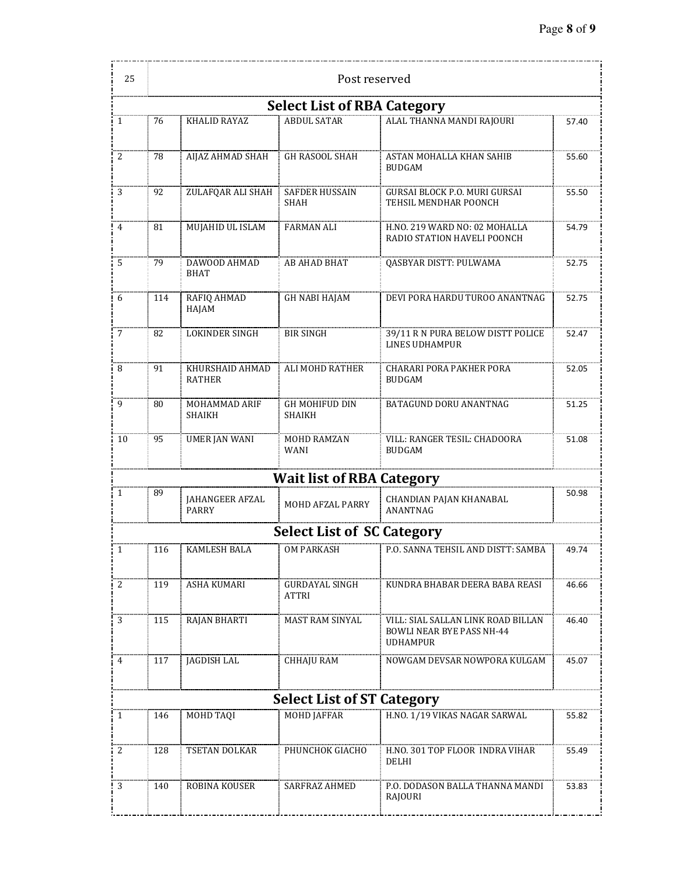--------------

| 25                                 | Post reserved |                                  |                                        |                                                                                    |       |  |  |
|------------------------------------|---------------|----------------------------------|----------------------------------------|------------------------------------------------------------------------------------|-------|--|--|
| <b>Select List of RBA Category</b> |               |                                  |                                        |                                                                                    |       |  |  |
| 1                                  | 76            | KHALID RAYAZ                     | <b>ABDUL SATAR</b>                     | ALAL THANNA MANDI RAJOURI                                                          | 57.40 |  |  |
| 2                                  | 78            | AIJAZ AHMAD SHAH                 | <b>GH RASOOL SHAH</b>                  | ASTAN MOHALLA KHAN SAHIB<br><b>BUDGAM</b>                                          | 55.60 |  |  |
| 3                                  | 92            | ZULAFQAR ALI SHAH                | <b>SAFDER HUSSAIN</b><br>SHAH          | GURSAI BLOCK P.O. MURI GURSAI<br>TEHSIL MENDHAR POONCH                             | 55.50 |  |  |
| 4                                  | 81            | MUJAHID UL ISLAM                 | <b>FARMAN ALI</b>                      | H.NO. 219 WARD NO: 02 MOHALLA<br>RADIO STATION HAVELI POONCH                       | 54.79 |  |  |
| 5                                  | 79            | DAWOOD AHMAD<br><b>BHAT</b>      | AB AHAD BHAT                           | QASBYAR DISTT: PULWAMA                                                             | 52.75 |  |  |
| 6                                  | 114           | RAFIQ AHMAD<br>HAJAM             | <b>GH NABI HAJAM</b>                   | DEVI PORA HARDU TUROO ANANTNAG                                                     | 52.75 |  |  |
| 7                                  | 82            | <b>LOKINDER SINGH</b>            | <b>BIR SINGH</b>                       | 39/11 R N PURA BELOW DISTT POLICE<br><b>LINES UDHAMPUR</b>                         | 52.47 |  |  |
| 8                                  | 91            | KHURSHAID AHMAD<br><b>RATHER</b> | ALI MOHD RATHER                        | CHARARI PORA PAKHER PORA<br><b>BUDGAM</b>                                          | 52.05 |  |  |
| 9                                  | 80            | MOHAMMAD ARIF<br>SHAIKH          | <b>GH MOHIFUD DIN</b><br><b>SHAIKH</b> | BATAGUND DORU ANANTNAG                                                             | 51.25 |  |  |
| 10                                 | 95            | <b>UMER JAN WANI</b>             | MOHD RAMZAN<br><b>WANI</b>             | VILL: RANGER TESIL: CHADOORA<br><b>BUDGAM</b>                                      | 51.08 |  |  |
|                                    |               |                                  | <b>Wait list of RBA Category</b>       |                                                                                    |       |  |  |
| 1                                  | 89            | JAHANGEER AFZAL<br><b>PARRY</b>  | MOHD AFZAL PARRY                       | CHANDIAN PAJAN KHANABAL<br>ANANTNAG                                                | 50.98 |  |  |
|                                    |               |                                  | <b>Select List of SC Category</b>      |                                                                                    |       |  |  |
| 1                                  | 116           | <b>KAMLESH BALA</b>              | <b>OM PARKASH</b>                      | P.O. SANNA TEHSIL AND DISTT: SAMBA                                                 | 49.74 |  |  |
| 2                                  | 119           | <b>ASHA KUMARI</b>               | <b>GURDAYAL SINGH</b><br><b>ATTRI</b>  | KUNDRA BHABAR DEERA BABA REASI                                                     | 46.66 |  |  |
| 3                                  | 115           | <b>RAJAN BHARTI</b>              | MAST RAM SINYAL                        | VILL: SIAL SALLAN LINK ROAD BILLAN<br>BOWLI NEAR BYE PASS NH-44<br><b>UDHAMPUR</b> | 46.40 |  |  |
| 4                                  | 117           | <b>JAGDISH LAL</b>               | <b>CHHAJU RAM</b>                      | NOWGAM DEVSAR NOWPORA KULGAM                                                       | 45.07 |  |  |
|                                    |               |                                  | <b>Select List of ST Category</b>      |                                                                                    |       |  |  |
| 1                                  | 146           | MOHD TAQI                        | <b>MOHD JAFFAR</b>                     | H.NO. 1/19 VIKAS NAGAR SARWAL                                                      | 55.82 |  |  |
| 2                                  | 128           | TSETAN DOLKAR                    | PHUNCHOK GIACHO                        | H.NO. 301 TOP FLOOR INDRA VIHAR<br>DELHI                                           | 55.49 |  |  |
| 3                                  | 140           | ROBINA KOUSER                    | SARFRAZ AHMED                          | P.O. DODASON BALLA THANNA MANDI<br>RAJOURI                                         | 53.83 |  |  |